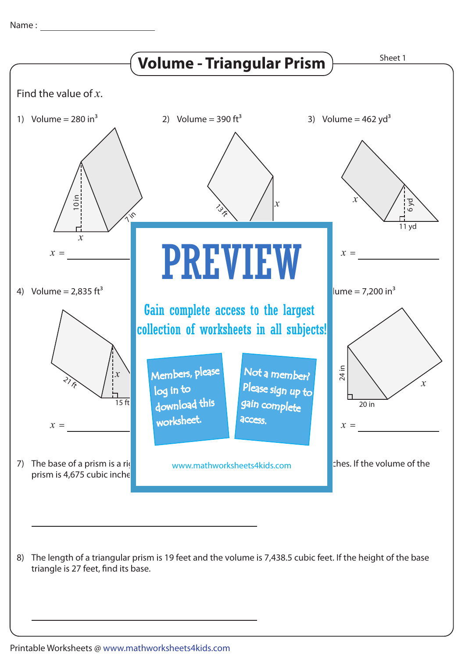